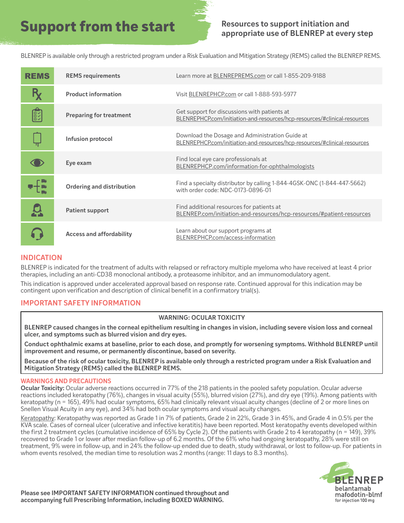## **Support from the start Resources to support initiation and**

# **appropriate use of BLENREP at every step**

BLENREP is available only through a restricted program under a Risk Evaluation and Mitigation Strategy (REMS) called the BLENREP REMS.

| <b>REMS</b> | <b>REMS</b> requirements         | Learn more at BLENREPREMS.com or call 1-855-209-9188                                                                         |
|-------------|----------------------------------|------------------------------------------------------------------------------------------------------------------------------|
|             | <b>Product information</b>       | Visit BLENREPHCP.com or call 1-888-593-5977                                                                                  |
| R           | <b>Preparing for treatment</b>   | Get support for discussions with patients at<br>BLENREPHCP.com/initiation-and-resources/hcp-resources/#clinical-resources    |
|             | Infusion protocol                | Download the Dosage and Administration Guide at<br>BLENREPHCP.com/initiation-and-resources/hcp-resources/#clinical-resources |
|             | Eye exam                         | Find local eye care professionals at<br>BLENREPHCP.com/information-for-ophthalmologists                                      |
|             | <b>Ordering and distribution</b> | Find a specialty distributor by calling 1-844-4GSK-ONC (1-844-447-5662)<br>with order code: NDC-0173-0896-01                 |
|             | <b>Patient support</b>           | Find additional resources for patients at<br>BLENREP.com/initiation-and-resources/hcp-resources/#patient-resources           |
|             | <b>Access and affordability</b>  | Learn about our support programs at<br>BLENREPHCP.com/access-information                                                     |

## **INDICATION**

BLENREP is indicated for the treatment of adults with relapsed or refractory multiple myeloma who have received at least 4 prior therapies, including an anti-CD38 monoclonal antibody, a proteasome inhibitor, and an immunomodulatory agent.

This indication is approved under accelerated approval based on response rate. Continued approval for this indication may be contingent upon verification and description of clinical benefit in a confirmatory trial(s).

## **IMPORTANT SAFETY INFORMATION**

#### **WARNING: OCULAR TOXICITY**

**BLENREP caused changes in the corneal epithelium resulting in changes in vision, including severe vision loss and corneal ulcer, and symptoms such as blurred vision and dry eyes.**

**Conduct ophthalmic exams at baseline, prior to each dose, and promptly for worsening symptoms. Withhold BLENREP until improvement and resume, or permanently discontinue, based on severity.** 

**Because of the risk of ocular toxicity, BLENREP is available only through a restricted program under a Risk Evaluation and Mitigation Strategy (REMS) called the BLENREP REMS.**

#### **WARNINGS AND PRECAUTIONS**

**Ocular Toxicity:** Ocular adverse reactions occurred in 77% of the 218 patients in the pooled safety population. Ocular adverse reactions included keratopathy (76%), changes in visual acuity (55%), blurred vision (27%), and dry eye (19%). Among patients with keratopathy (n = 165), 49% had ocular symptoms, 65% had clinically relevant visual acuity changes (decline of 2 or more lines on Snellen Visual Acuity in any eye), and 34% had both ocular symptoms and visual acuity changes.

Keratopathy: Keratopathy was reported as Grade 1 in 7% of patients, Grade 2 in 22%, Grade 3 in 45%, and Grade 4 in 0.5% per the KVA scale. Cases of corneal ulcer (ulcerative and infective keratitis) have been reported. Most keratopathy events developed within the first 2 treatment cycles (cumulative incidence of 65% by Cycle 2). Of the patients with Grade 2 to 4 keratopathy (n = 149), 39% recovered to Grade 1 or lower after median follow-up of 6.2 months. Of the 61% who had ongoing keratopathy, 28% were still on treatment, 9% were in follow-up, and in 24% the follow-up ended due to death, study withdrawal, or lost to follow-up. For patients in whom events resolved, the median time to resolution was 2 months (range: 11 days to 8.3 months).